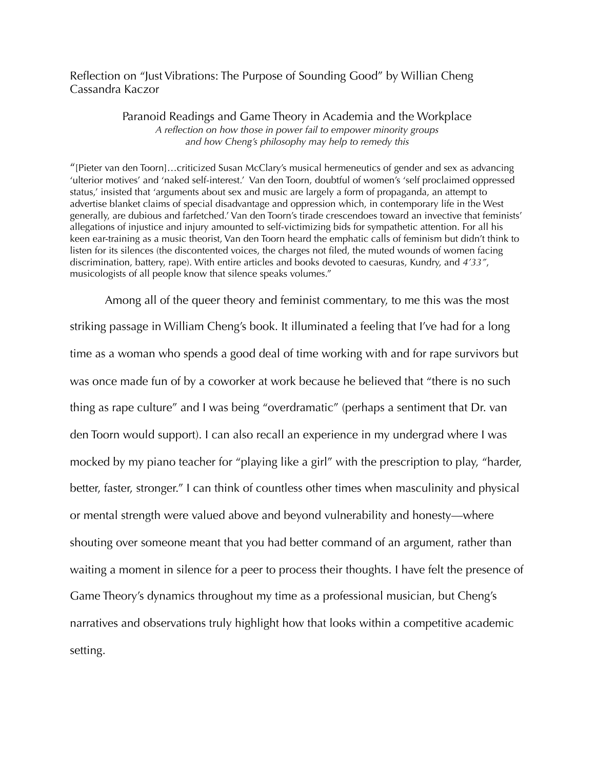## Reflection on "Just Vibrations: The Purpose of Sounding Good" by Willian Cheng Cassandra Kaczor

## Paranoid Readings and Game Theory in Academia and the Workplace *A reflection on how those in power fail to empower minority groups and how Cheng's philosophy may help to remedy this*

"[Pieter van den Toorn]…criticized Susan McClary's musical hermeneutics of gender and sex as advancing 'ulterior motives' and 'naked self-interest.' Van den Toorn, doubtful of women's 'self proclaimed oppressed status,' insisted that 'arguments about sex and music are largely a form of propaganda, an attempt to advertise blanket claims of special disadvantage and oppression which, in contemporary life in the West generally, are dubious and farfetched.' Van den Toorn's tirade crescendoes toward an invective that feminists' allegations of injustice and injury amounted to self-victimizing bids for sympathetic attention. For all his keen ear-training as a music theorist, Van den Toorn heard the emphatic calls of feminism but didn't think to listen for its silences (the discontented voices, the charges not filed, the muted wounds of women facing discrimination, battery, rape). With entire articles and books devoted to caesuras, Kundry, and *4'33"*, musicologists of all people know that silence speaks volumes."

 Among all of the queer theory and feminist commentary, to me this was the most striking passage in William Cheng's book. It illuminated a feeling that I've had for a long time as a woman who spends a good deal of time working with and for rape survivors but was once made fun of by a coworker at work because he believed that "there is no such thing as rape culture" and I was being "overdramatic" (perhaps a sentiment that Dr. van den Toorn would support). I can also recall an experience in my undergrad where I was mocked by my piano teacher for "playing like a girl" with the prescription to play, "harder, better, faster, stronger." I can think of countless other times when masculinity and physical or mental strength were valued above and beyond vulnerability and honesty—where shouting over someone meant that you had better command of an argument, rather than waiting a moment in silence for a peer to process their thoughts. I have felt the presence of Game Theory's dynamics throughout my time as a professional musician, but Cheng's narratives and observations truly highlight how that looks within a competitive academic setting.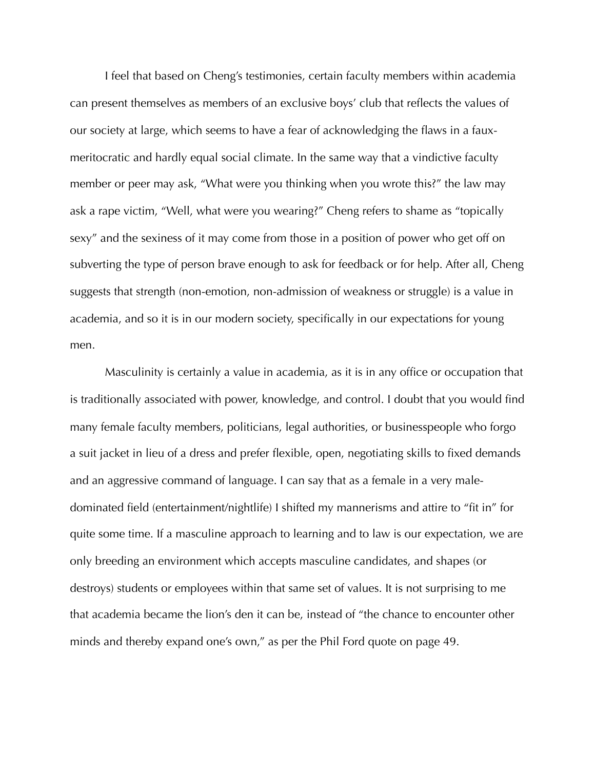I feel that based on Cheng's testimonies, certain faculty members within academia can present themselves as members of an exclusive boys' club that reflects the values of our society at large, which seems to have a fear of acknowledging the flaws in a fauxmeritocratic and hardly equal social climate. In the same way that a vindictive faculty member or peer may ask, "What were you thinking when you wrote this?" the law may ask a rape victim, "Well, what were you wearing?" Cheng refers to shame as "topically sexy" and the sexiness of it may come from those in a position of power who get off on subverting the type of person brave enough to ask for feedback or for help. After all, Cheng suggests that strength (non-emotion, non-admission of weakness or struggle) is a value in academia, and so it is in our modern society, specifically in our expectations for young men.

 Masculinity is certainly a value in academia, as it is in any office or occupation that is traditionally associated with power, knowledge, and control. I doubt that you would find many female faculty members, politicians, legal authorities, or businesspeople who forgo a suit jacket in lieu of a dress and prefer flexible, open, negotiating skills to fixed demands and an aggressive command of language. I can say that as a female in a very maledominated field (entertainment/nightlife) I shifted my mannerisms and attire to "fit in" for quite some time. If a masculine approach to learning and to law is our expectation, we are only breeding an environment which accepts masculine candidates, and shapes (or destroys) students or employees within that same set of values. It is not surprising to me that academia became the lion's den it can be, instead of "the chance to encounter other minds and thereby expand one's own," as per the Phil Ford quote on page 49.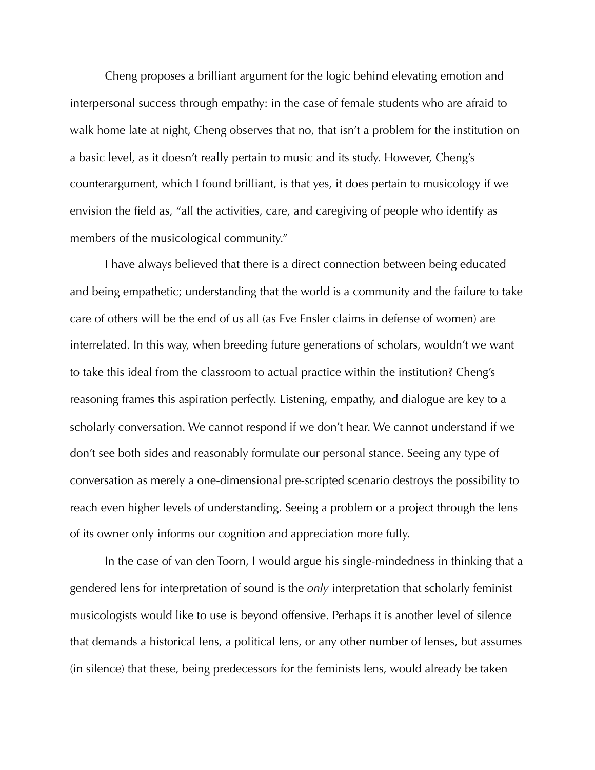Cheng proposes a brilliant argument for the logic behind elevating emotion and interpersonal success through empathy: in the case of female students who are afraid to walk home late at night, Cheng observes that no, that isn't a problem for the institution on a basic level, as it doesn't really pertain to music and its study. However, Cheng's counterargument, which I found brilliant, is that yes, it does pertain to musicology if we envision the field as, "all the activities, care, and caregiving of people who identify as members of the musicological community."

 I have always believed that there is a direct connection between being educated and being empathetic; understanding that the world is a community and the failure to take care of others will be the end of us all (as Eve Ensler claims in defense of women) are interrelated. In this way, when breeding future generations of scholars, wouldn't we want to take this ideal from the classroom to actual practice within the institution? Cheng's reasoning frames this aspiration perfectly. Listening, empathy, and dialogue are key to a scholarly conversation. We cannot respond if we don't hear. We cannot understand if we don't see both sides and reasonably formulate our personal stance. Seeing any type of conversation as merely a one-dimensional pre-scripted scenario destroys the possibility to reach even higher levels of understanding. Seeing a problem or a project through the lens of its owner only informs our cognition and appreciation more fully.

 In the case of van den Toorn, I would argue his single-mindedness in thinking that a gendered lens for interpretation of sound is the *only* interpretation that scholarly feminist musicologists would like to use is beyond offensive. Perhaps it is another level of silence that demands a historical lens, a political lens, or any other number of lenses, but assumes (in silence) that these, being predecessors for the feminists lens, would already be taken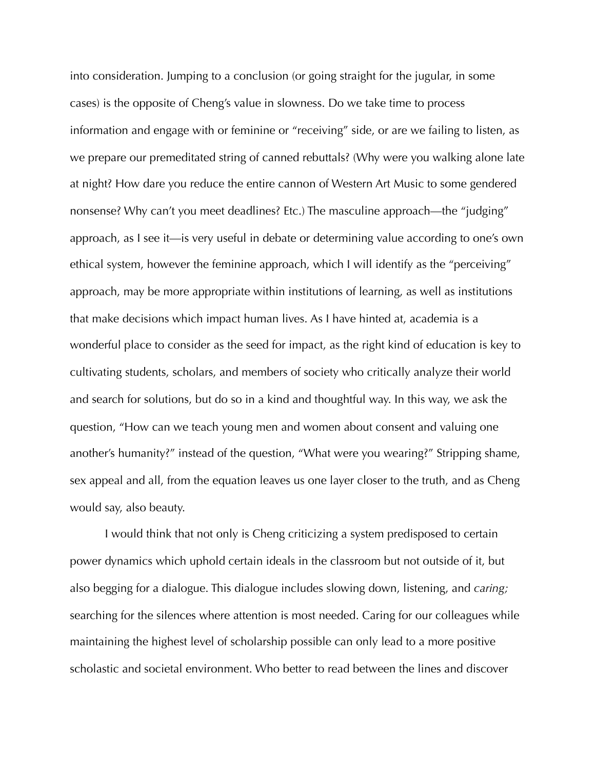into consideration. Jumping to a conclusion (or going straight for the jugular, in some cases) is the opposite of Cheng's value in slowness. Do we take time to process information and engage with or feminine or "receiving" side, or are we failing to listen, as we prepare our premeditated string of canned rebuttals? (Why were you walking alone late at night? How dare you reduce the entire cannon of Western Art Music to some gendered nonsense? Why can't you meet deadlines? Etc.) The masculine approach—the "judging" approach, as I see it—is very useful in debate or determining value according to one's own ethical system, however the feminine approach, which I will identify as the "perceiving" approach, may be more appropriate within institutions of learning, as well as institutions that make decisions which impact human lives. As I have hinted at, academia is a wonderful place to consider as the seed for impact, as the right kind of education is key to cultivating students, scholars, and members of society who critically analyze their world and search for solutions, but do so in a kind and thoughtful way. In this way, we ask the question, "How can we teach young men and women about consent and valuing one another's humanity?" instead of the question, "What were you wearing?" Stripping shame, sex appeal and all, from the equation leaves us one layer closer to the truth, and as Cheng would say, also beauty.

 I would think that not only is Cheng criticizing a system predisposed to certain power dynamics which uphold certain ideals in the classroom but not outside of it, but also begging for a dialogue. This dialogue includes slowing down, listening, and *caring;*  searching for the silences where attention is most needed. Caring for our colleagues while maintaining the highest level of scholarship possible can only lead to a more positive scholastic and societal environment. Who better to read between the lines and discover